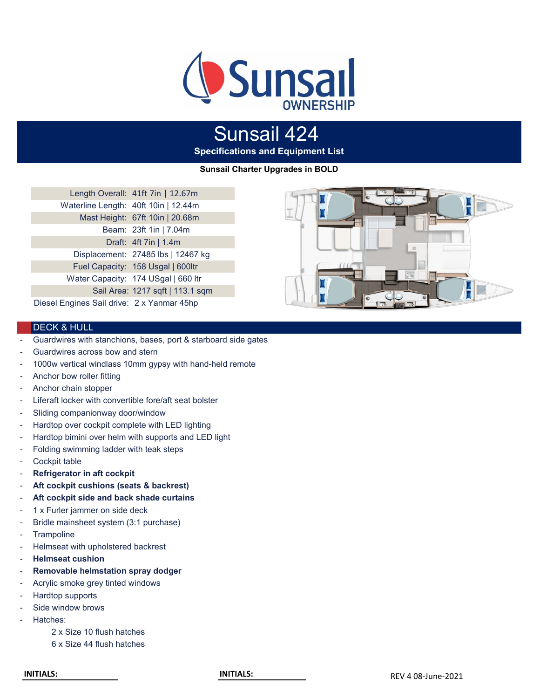

# Sunsail 424

**Specifications and Equipment List**

**Sunsail Charter Upgrades in BOLD**

|                                            | Length Overall: 41ft 7in   12.67m   |
|--------------------------------------------|-------------------------------------|
| Waterline Length: 40ft 10in   12.44m       |                                     |
|                                            | Mast Height: 67ft 10in   20.68m     |
|                                            | Beam: 23ft 1in   7.04m              |
|                                            | Draft: 4ft 7in   1.4m               |
|                                            | Displacement: 27485 lbs   12467 kg  |
|                                            | Fuel Capacity: 158 Usgal   600ltr   |
|                                            | Water Capacity: 174 USgal   660 ltr |
|                                            | Sail Area: 1217 sqft   113.1 sqm    |
| Diesel Engines Sail drive: 2 x Yanmar 45hp |                                     |



# DECK & HULL

- Guardwires with stanchions, bases, port & starboard side gates
- Guardwires across bow and stern
- 1000w vertical windlass 10mm gypsy with hand-held remote
- Anchor bow roller fitting
- Anchor chain stopper
- Liferaft locker with convertible fore/aft seat bolster
- Sliding companionway door/window
- Hardtop over cockpit complete with LED lighting
- Hardtop bimini over helm with supports and LED light
- Folding swimming ladder with teak steps
- Cockpit table
- **Refrigerator in aft cockpit**
- **Aft cockpit cushions (seats & backrest)**
- **Aft cockpit side and back shade curtains**
- 1 x Furler jammer on side deck
- Bridle mainsheet system (3:1 purchase)
- **Trampoline**
- Helmseat with upholstered backrest
- **Helmseat cushion**
- **Removable helmstation spray dodger**
- Acrylic smoke grey tinted windows
- Hardtop supports
- Side window brows
- Hatches:
	- 2 x Size 10 flush hatches
	- 6 x Size 44 flush hatches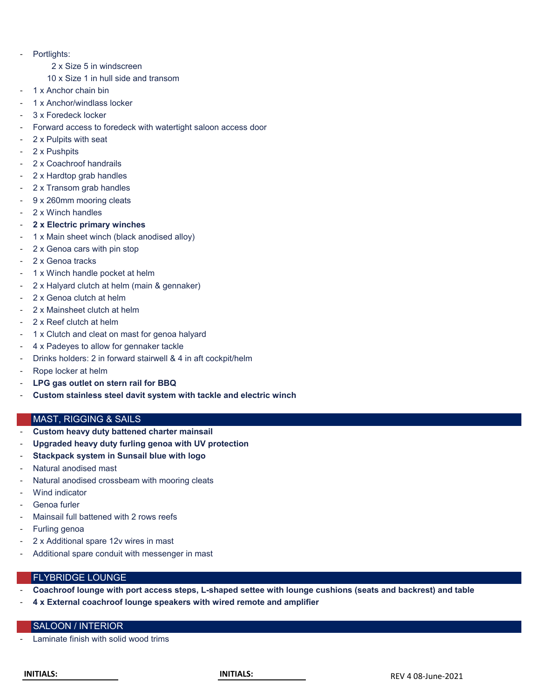- Portlights:
	- 2 x Size 5 in windscreen
	- 10 x Size 1 in hull side and transom
- 1 x Anchor chain bin
- 1 x Anchor/windlass locker
- 3 x Foredeck locker
- Forward access to foredeck with watertight saloon access door
- 2 x Pulpits with seat
- 2 x Pushpits
- 2 x Coachroof handrails
- 2 x Hardtop grab handles
- 2 x Transom grab handles
- 9 x 260mm mooring cleats
- 2 x Winch handles
- 2 x Electric primary winches
- 1 x Main sheet winch (black anodised alloy)
- 2 x Genoa cars with pin stop
- 2 x Genoa tracks
- 1 x Winch handle pocket at helm
- 2 x Halyard clutch at helm (main & gennaker)
- 2 x Genoa clutch at helm
- 2 x Mainsheet clutch at helm
- 2 x Reef clutch at helm
- 1 x Clutch and cleat on mast for genoa halyard
- 4 x Padeyes to allow for gennaker tackle
- Drinks holders: 2 in forward stairwell & 4 in aft cockpit/helm
- Rope locker at helm
- **LPG gas outlet on stern rail for BBQ**
- **Custom stainless steel davit system with tackle and electric winch**

## MAST, RIGGING & SAILS

- **Custom heavy duty battened charter mainsail**
- **Upgraded heavy duty furling genoa with UV protection**
- **Stackpack system in Sunsail blue with logo**
- Natural anodised mast
- Natural anodised crossbeam with mooring cleats
- Wind indicator
- Genoa furler
- Mainsail full battened with 2 rows reefs
- Furling genoa
- 2 x Additional spare 12v wires in mast
- Additional spare conduit with messenger in mast

# FLYBRIDGE LOUNGE

- **Coachroof lounge with port access steps, L-shaped settee with lounge cushions (seats and backrest) and table**
- **4 x External coachroof lounge speakers with wired remote and amplifier**

# SALOON / INTERIOR

Laminate finish with solid wood trims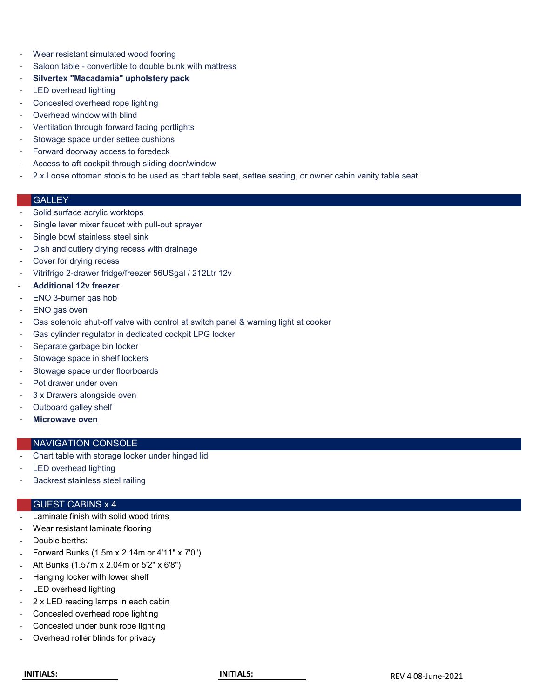- Wear resistant simulated wood fooring
- Saloon table convertible to double bunk with mattress
- **Silvertex "Macadamia" upholstery pack**
- LED overhead lighting
- Concealed overhead rope lighting
- Overhead window with blind
- Ventilation through forward facing portlights
- Stowage space under settee cushions
- Forward doorway access to foredeck
- Access to aft cockpit through sliding door/window
- 2 x Loose ottoman stools to be used as chart table seat, settee seating, or owner cabin vanity table seat

# **GALLEY**

- Solid surface acrylic worktops
- Single lever mixer faucet with pull-out sprayer
- Single bowl stainless steel sink
- Dish and cutlery drying recess with drainage
- Cover for drying recess
- Vitrifrigo 2-drawer fridge/freezer 56USgal / 212Ltr 12v
- **Additional 12v freezer**
- ENO 3-burner gas hob
- ENO gas oven
- Gas solenoid shut-off valve with control at switch panel & warning light at cooker
- Gas cylinder regulator in dedicated cockpit LPG locker
- Separate garbage bin locker
- Stowage space in shelf lockers
- Stowage space under floorboards
- Pot drawer under oven
- 3 x Drawers alongside oven
- Outboard galley shelf
- **Microwave oven**

#### NAVIGATION CONSOLE

- Chart table with storage locker under hinged lid
- LED overhead lighting
- Backrest stainless steel railing

#### GUEST CABINS x 4

- Laminate finish with solid wood trims
- Wear resistant laminate flooring
- Double berths:
- Forward Bunks (1.5m x 2.14m or 4'11" x 7'0")
- Aft Bunks (1.57m x 2.04m or 5'2" x 6'8")
- Hanging locker with lower shelf
- LED overhead lighting
- 2 x LED reading lamps in each cabin
- Concealed overhead rope lighting
- Concealed under bunk rope lighting
- Overhead roller blinds for privacy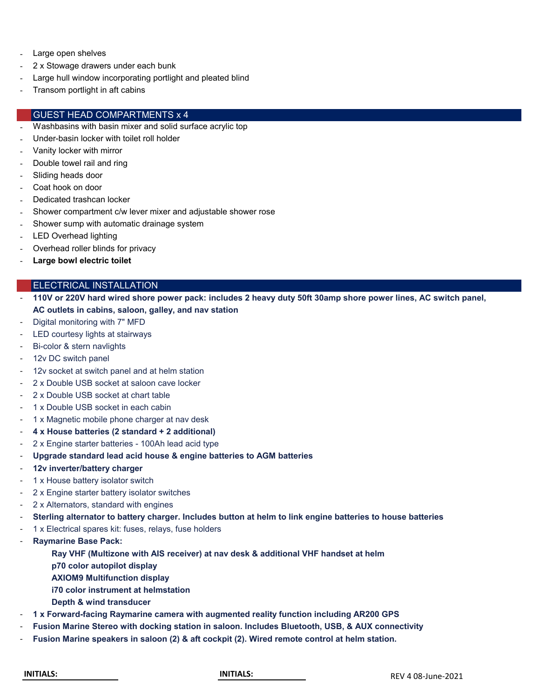- Large open shelves
- 2 x Stowage drawers under each bunk
- Large hull window incorporating portlight and pleated blind
- Transom portlight in aft cabins

#### GUEST HEAD COMPARTMENTS x 4

- Washbasins with basin mixer and solid surface acrylic top
- Under-basin locker with toilet roll holder
- Vanity locker with mirror
- Double towel rail and ring
- Sliding heads door
- Coat hook on door
- Dedicated trashcan locker
- Shower compartment c/w lever mixer and adjustable shower rose
- Shower sump with automatic drainage system
- LED Overhead lighting
- Overhead roller blinds for privacy
- Large bowl electric toilet

#### ELECTRICAL INSTALLATION

- **110V or 220V hard wired shore power pack: includes 2 heavy duty 50ft 30amp shore power lines, AC switch panel, AC outlets in cabins, saloon, galley, and nav station**
- Digital monitoring with 7" MFD
- LED courtesy lights at stairways
- Bi-color & stern navlights
- 12v DC switch panel
- 12v socket at switch panel and at helm station
- 2 x Double USB socket at saloon cave locker
- 2 x Double USB socket at chart table
- 1 x Double USB socket in each cabin
- 1 x Magnetic mobile phone charger at nav desk
- **4 x House batteries (2 standard + 2 additional)**
- 2 x Engine starter batteries 100Ah lead acid type
- **Upgrade standard lead acid house & engine batteries to AGM batteries**
- **12v inverter/battery charger**
- 1 x House battery isolator switch
- 2 x Engine starter battery isolator switches
- 2 x Alternators, standard with engines
- **Sterling alternator to battery charger. Includes button at helm to link engine batteries to house batteries**
- 1 x Electrical spares kit: fuses, relays, fuse holders
- **Raymarine Base Pack:**
	- **Ray VHF (Multizone with AIS receiver) at nav desk & additional VHF handset at helm**
	- **p70 color autopilot display**
	- **AXIOM9 Multifunction display**
	- **i70 color instrument at helmstation**
	- **Depth & wind transducer**
- **1 x Forward-facing Raymarine camera with augmented reality function including AR200 GPS**
- **Fusion Marine Stereo with docking station in saloon. Includes Bluetooth, USB, & AUX connectivity**
- **Fusion Marine speakers in saloon (2) & aft cockpit (2). Wired remote control at helm station.**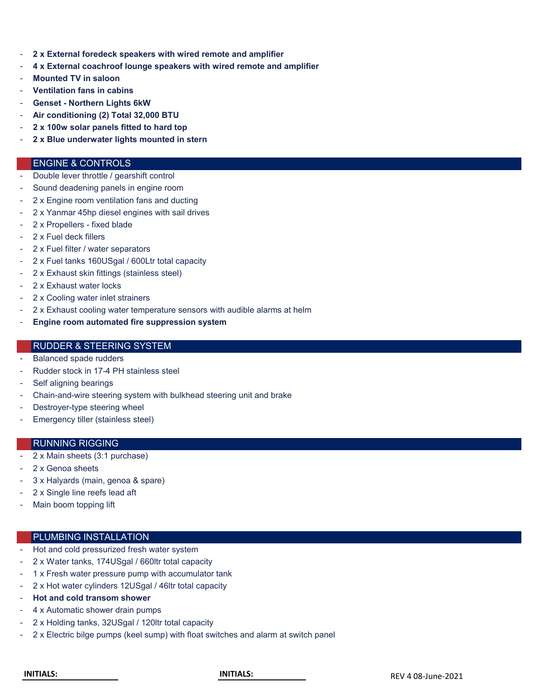- **2 x External foredeck speakers with wired remote and amplifier**
- **4 x External coachroof lounge speakers with wired remote and amplifier**
- **Mounted TV in saloon**
- **Ventilation fans in cabins**
- **Genset Northern Lights 6kW**
- **Air conditioning (2) Total 32,000 BTU**
- **2 x 100w solar panels fitted to hard top**
- **2 x Blue underwater lights mounted in stern**

#### ENGINE & CONTROLS

- Double lever throttle / gearshift control
- Sound deadening panels in engine room
- 2 x Engine room ventilation fans and ducting
- 2 x Yanmar 45hp diesel engines with sail drives
- 2 x Propellers fixed blade
- 2 x Fuel deck fillers
- 2 x Fuel filter / water separators
- 2 x Fuel tanks 160USgal / 600Ltr total capacity
- 2 x Exhaust skin fittings (stainless steel)
- 2 x Exhaust water locks
- 2 x Cooling water inlet strainers
- 2 x Exhaust cooling water temperature sensors with audible alarms at helm
- **Engine room automated fire suppression system**

## RUDDER & STEERING SYSTEM

- Balanced spade rudders
- Rudder stock in 17-4 PH stainless steel
- Self aligning bearings
- Chain-and-wire steering system with bulkhead steering unit and brake
- Destroyer-type steering wheel
- Emergency tiller (stainless steel)

#### RUNNING RIGGING

- 2 x Main sheets (3:1 purchase)
- 2 x Genoa sheets
- 3 x Halyards (main, genoa & spare)
- 2 x Single line reefs lead aft
- Main boom topping lift

## PLUMBING INSTALLATION

- Hot and cold pressurized fresh water system
- 2 x Water tanks, 174USgal / 660ltr total capacity
- 1 x Fresh water pressure pump with accumulator tank
- 2 x Hot water cylinders 12USgal / 46ltr total capacity
- **Hot and cold transom shower**
- 4 x Automatic shower drain pumps
- 2 x Holding tanks, 32USgal / 120ltr total capacity
- 2 x Electric bilge pumps (keel sump) with float switches and alarm at switch panel